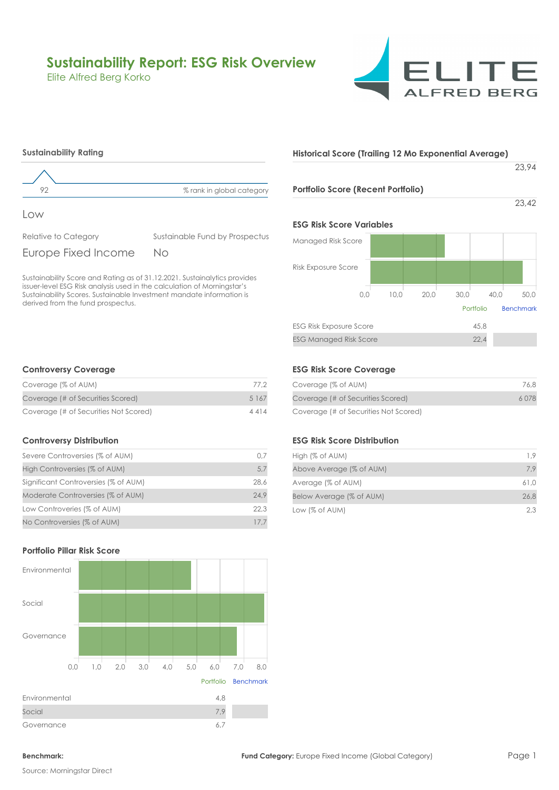# **Sustainability Report: ESG Risk Overview**

Sustainable Fund by Prospectus

Elite Alfred Berg Korko



# **Historical Score (Trailing 12 Mo Exponential Average)**

23,94

## **Portfolio Score (Recent Portfolio)**

23,42

## **ESG Risk Score Variables**

| Managed Risk Score             |      |      |      |           |                  |
|--------------------------------|------|------|------|-----------|------------------|
| Risk Exposure Score            |      |      |      |           |                  |
| 0,0                            | 10.0 | 20,0 | 30.0 | 40.0      | 50,0             |
|                                |      |      |      | Portfolio | <b>Benchmark</b> |
| <b>ESG Risk Exposure Score</b> |      |      |      | 45,8      |                  |
| <b>ESG Managed Risk Score</b>  |      |      |      | 22.4      |                  |

## **Controversy Coverage**

**Sustainability Rating**

Relative to Category

Europe Fixed Income

derived from the fund prospectus.

Low

| Coverage (% of AUM)                   | 77.2    |
|---------------------------------------|---------|
| Coverage (# of Securities Scored)     | 5 1 6 7 |
| Coverage (# of Securities Not Scored) | 4414    |

92 % rank in global category

No

Sustainability Score and Rating as of 31.12.2021. Sustainalytics provides issuer-level ESG Risk analysis used in the calculation of Morningstar's Sustainability Scores. Sustainable Investment mandate information is

## **Controversy Distribution**

| Severe Controversies (% of AUM)      | 0.7  |
|--------------------------------------|------|
| High Controversies (% of AUM)        | 5,7  |
| Significant Controversies (% of AUM) | 28.6 |
| Moderate Controversies (% of AUM)    | 24.9 |
| Low Controveries (% of AUM)          | 22.3 |
| No Controversies (% of AUM)          | 17.7 |

# **Portfolio Pillar Risk Score**



## **ESG Risk Score Coverage**

| Coverage (% of AUM)                   | 76.8  |
|---------------------------------------|-------|
| Coverage (# of Securities Scored)     | 6.078 |
| Coverage (# of Securities Not Scored) |       |

## **ESG Risk Score Distribution**

| High (% of AUM)                | 19   |
|--------------------------------|------|
| Above Average (% of AUM)       | 7.9  |
| Average (% of AUM)             | 61.0 |
| Below Average (% of AUM)       | 26.8 |
| Low $\left(\% \right)$ of AUM) | 2.3  |

Source: Morningstar Direct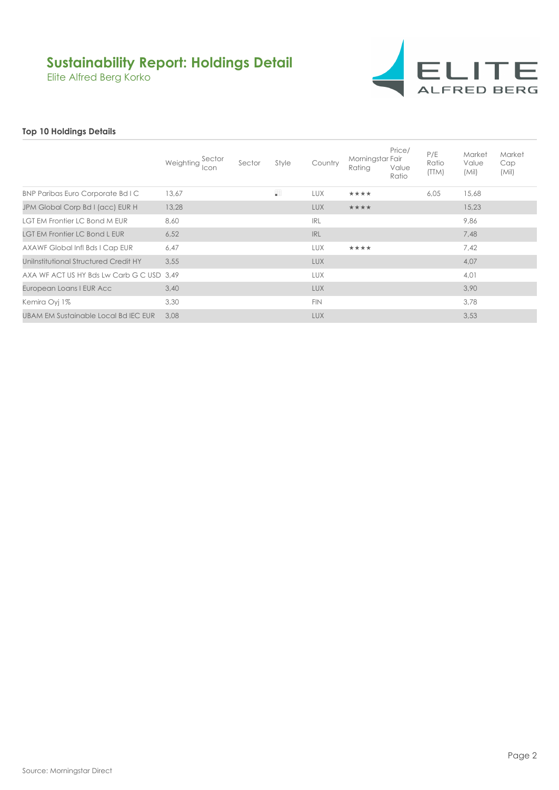# **Sustainability Report: Holdings Detail**

Elite Alfred Berg Korko



# **Top 10 Holdings Details**

|                                           | Weighting Sector | Sector | Style | Country    | Morningstar Fair<br>Rating | Price/<br>Value<br>Ratio | P/E<br>Ratio<br>(TTM) | Market<br>Value<br>(Mil) | Market<br>Cap<br>(Mil) |
|-------------------------------------------|------------------|--------|-------|------------|----------------------------|--------------------------|-----------------------|--------------------------|------------------------|
| BNP Paribas Euro Corporate Bd I C         | 13,67            |        | H     | <b>LUX</b> | ****                       |                          | 6,05                  | 15,68                    |                        |
| JPM Global Corp Bd I (acc) EUR H          | 13,28            |        |       | <b>LUX</b> | ****                       |                          |                       | 15,23                    |                        |
| LGT EM Frontier LC Bond M EUR             | 8.60             |        |       | <b>IRL</b> |                            |                          |                       | 9,86                     |                        |
| <b>LGT EM Frontier LC Bond L EUR</b>      | 6,52             |        |       | <b>IRL</b> |                            |                          |                       | 7,48                     |                        |
| AXAWF Global Infl Bds I Cap EUR           | 6,47             |        |       | <b>LUX</b> | ****                       |                          |                       | 7.42                     |                        |
| Unilnstitutional Structured Credit HY     | 3,55             |        |       | <b>LUX</b> |                            |                          |                       | 4,07                     |                        |
| AXA WF ACT US HY Bds Lw Carb G C USD 3.49 |                  |        |       | <b>LUX</b> |                            |                          |                       | 4,01                     |                        |
| European Loans I EUR Acc                  | 3,40             |        |       | <b>LUX</b> |                            |                          |                       | 3,90                     |                        |
| Kemira Oyi 1%                             | 3,30             |        |       | <b>FIN</b> |                            |                          |                       | 3,78                     |                        |
| UBAM EM Sustainable Local Bd IEC EUR      | 3.08             |        |       | <b>LUX</b> |                            |                          |                       | 3,53                     |                        |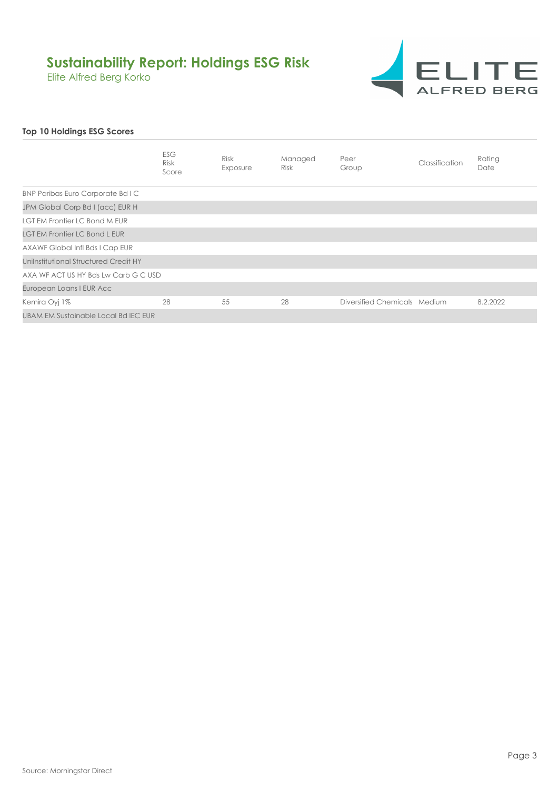# **Sustainability Report: Holdings ESG Risk**

Elite Alfred Berg Korko



# **Top 10 Holdings ESG Scores**

|                                       | <b>ESG</b><br><b>Risk</b><br>Score | <b>Risk</b><br>Exposure | Managed<br><b>Risk</b> | Peer<br>Group                | Classification | Rating<br>Date |
|---------------------------------------|------------------------------------|-------------------------|------------------------|------------------------------|----------------|----------------|
| BNP Paribas Euro Corporate Bd I C     |                                    |                         |                        |                              |                |                |
| JPM Global Corp Bd I (acc) EUR H      |                                    |                         |                        |                              |                |                |
| LGT EM Frontier LC Bond M EUR         |                                    |                         |                        |                              |                |                |
| <b>LGT EM Frontier LC Bond L EUR</b>  |                                    |                         |                        |                              |                |                |
| AXAWF Global Infl Bds I Cap EUR       |                                    |                         |                        |                              |                |                |
| Unilnstitutional Structured Credit HY |                                    |                         |                        |                              |                |                |
| AXA WF ACT US HY Bds Lw Carb G C USD  |                                    |                         |                        |                              |                |                |
| European Loans I EUR Acc              |                                    |                         |                        |                              |                |                |
| Kemira Oyj 1%                         | 28                                 | 55                      | 28                     | Diversified Chemicals Medium |                | 8.2.2022       |
| UBAM EM Sustainable Local Bd IEC EUR  |                                    |                         |                        |                              |                |                |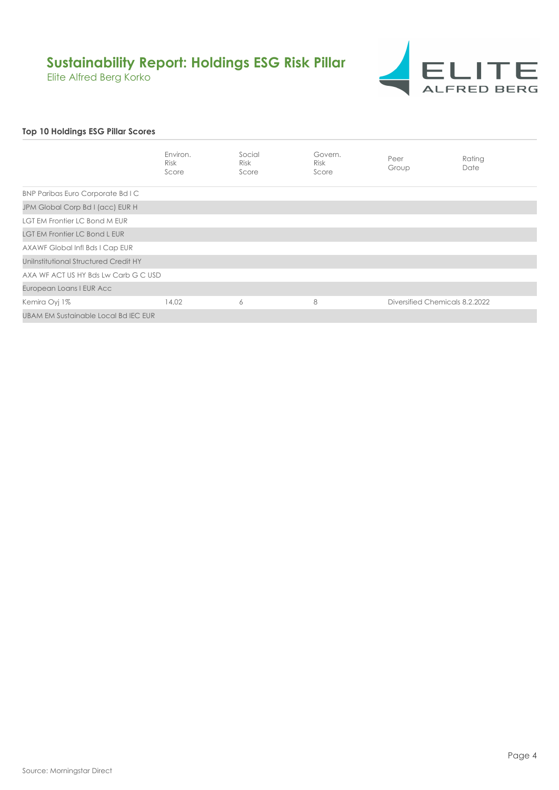# **Sustainability Report: Holdings ESG Risk Pillar**

Elite Alfred Berg Korko



# **Top 10 Holdings ESG Pillar Scores**

|                                       | Environ.<br>Risk<br>Score | Social<br><b>Risk</b><br>Score | Govern.<br>Risk<br>Score | Peer<br>Group                  | Rating<br>Date |
|---------------------------------------|---------------------------|--------------------------------|--------------------------|--------------------------------|----------------|
| BNP Paribas Euro Corporate Bd I C     |                           |                                |                          |                                |                |
| JPM Global Corp Bd I (acc) EUR H      |                           |                                |                          |                                |                |
| LGT EM Frontier LC Bond M EUR         |                           |                                |                          |                                |                |
| <b>LGT EM Frontier LC Bond L EUR</b>  |                           |                                |                          |                                |                |
| AXAWF Global Infl Bds I Cap EUR       |                           |                                |                          |                                |                |
| Unilnstitutional Structured Credit HY |                           |                                |                          |                                |                |
| AXA WF ACT US HY Bds Lw Carb G C USD  |                           |                                |                          |                                |                |
| European Loans I EUR Acc              |                           |                                |                          |                                |                |
| Kemira Oyj 1%                         | 14,02                     | 6                              | 8                        | Diversified Chemicals 8.2.2022 |                |
| UBAM EM Sustainable Local Bd IEC EUR  |                           |                                |                          |                                |                |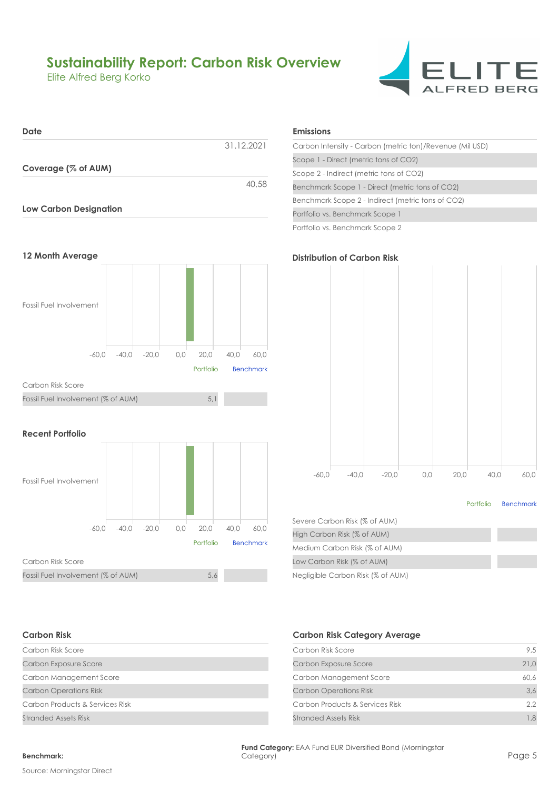# **Sustainability Report: Carbon Risk Overview**

Elite Alfred Berg Korko







## **Recent Portfolio**



# **Emissions**

| Carbon Intensity - Carbon (metric ton)/Revenue (Mil USD) |
|----------------------------------------------------------|
| Scope 1 - Direct (metric tons of CO2)                    |
| Scope 2 - Indirect (metric tons of CO2)                  |
| Benchmark Scope 1 - Direct (metric tons of CO2)          |
| Benchmark Scope 2 - Indirect (metric tons of CO2)        |
| Portfolio vs. Benchmark Scope 1                          |
| Portfolio vs. Benchmark Scope 2                          |



### Portfolio Benchmark

| Severe Carbon Risk (% of AUM)     |  |
|-----------------------------------|--|
| High Carbon Risk (% of AUM)       |  |
| Medium Carbon Risk (% of AUM)     |  |
| Low Carbon Risk (% of AUM)        |  |
| Negligible Carbon Risk (% of AUM) |  |

## **Carbon Risk**

| Carbon Risk Score               |  |
|---------------------------------|--|
| Carbon Exposure Score           |  |
| Carbon Management Score         |  |
| <b>Carbon Operations Risk</b>   |  |
| Carbon Products & Services Risk |  |
| Stranded Assets Risk            |  |

# **Carbon Risk Category Average**

| Carbon Risk Score               | 9.5  |
|---------------------------------|------|
| Carbon Exposure Score           | 21.0 |
| Carbon Management Score         | 60,6 |
| <b>Carbon Operations Risk</b>   | 3.6  |
| Carbon Products & Services Risk | 2.2  |
| Stranded Assets Risk            |      |

# **Benchmark:** Category)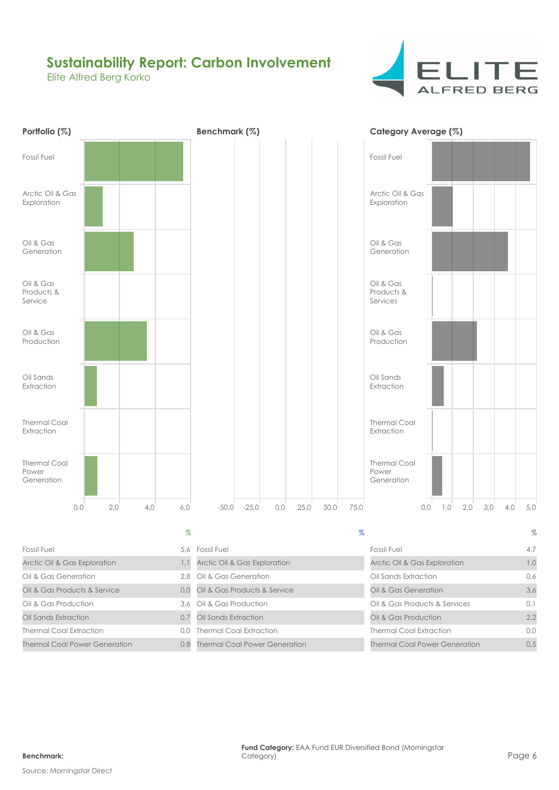# **Sustainability Report: Carbon Involvement**

Elite Alfred Berg Korko